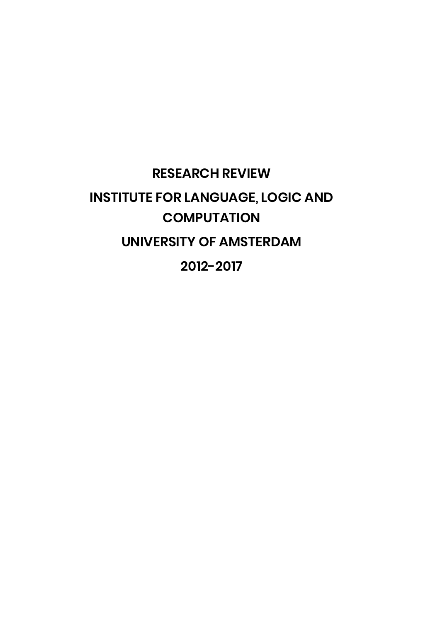# **RESEARCH REVIEW INSTITUTE FOR LANGUAGE, LOGIC AND COMPUTATION UNIVERSITY OF AMSTERDAM 2012-2017**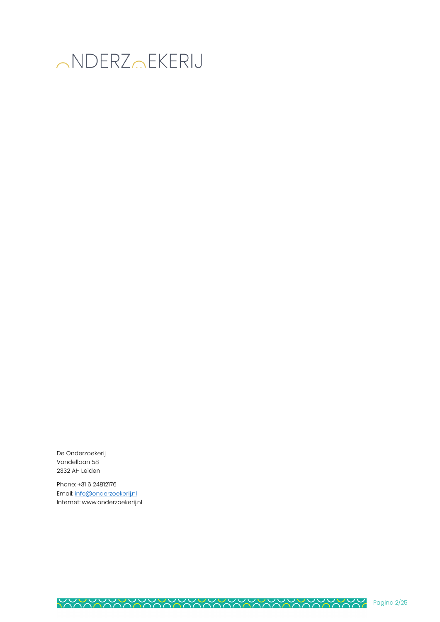

De Onderzoekerij Vondellaan 58 2332 AH Leiden

Phone: +31 6 24812176 Email: info@onderzoekerij.nl Internet: www.onderzoekerij.nl

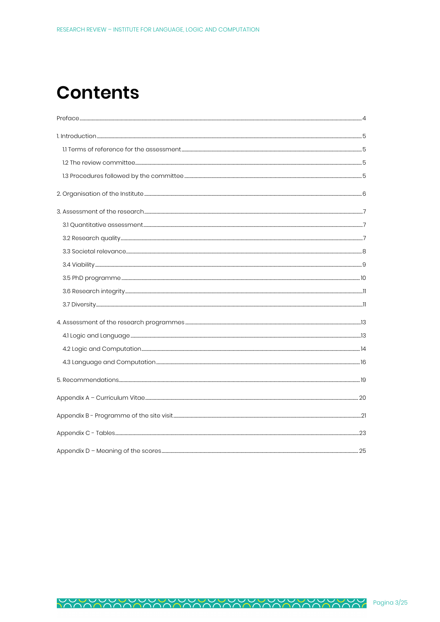# **Contents**

| 4. Assessment of the research programmes <b>CONFINGTER MANUTES ARE ASSESSMENT OF THE RES</b> |  |
|----------------------------------------------------------------------------------------------|--|
| 4.1 Logic and Language 2014 12:33 13                                                         |  |
|                                                                                              |  |
|                                                                                              |  |
|                                                                                              |  |
|                                                                                              |  |
|                                                                                              |  |
|                                                                                              |  |
|                                                                                              |  |

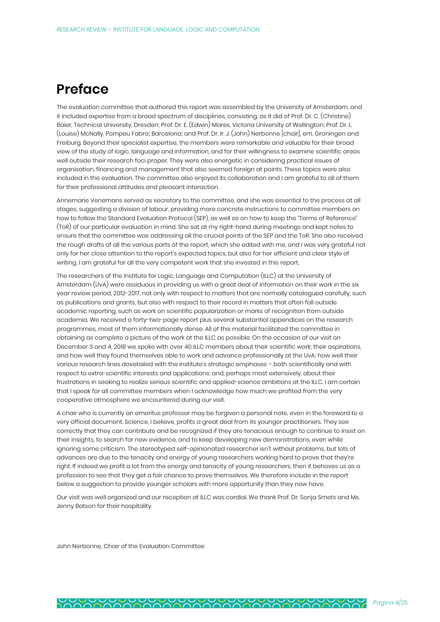# **Preface**

The evaluation committee that authored this report was assembled by the University of Amsterdam, and it included expertise from a broad spectrum of disciplines, consisting, as it did of Prof. Dr. C. (Christine) Baier, Technical University, Dresden; Prof. Dr. E. (Edwin) Mares, Victoria University of Wellington; Prof. Dr. L. (Louise) McNally, Pompeu Fabra; Barcelona; and Prof. Dr. Ir. J. (John) Nerbonne [chair], em. Groningen and Freiburg. Beyond their specialist expertise, the members were remarkable and valuable for their broad view of the study of logic, language and information, and for their willingness to examine scientific areas well outside their research foci proper. They were also energetic in considering practical issues of organisation, financing and management that also seemed foreign at points. These topics were also included in the evaluation. The committee also enjoyed its collaboration and I am grateful to all of them for their professional attitudes and pleasant interaction.

Annemarie Venemans served as secretary to the committee, and she was essential to the process at all stages, suggesting a division of labour, providing more concrete instructions to committee members on how to follow the Standard Evaluation Protocol (SEP), as well as on how to keep the "Terms of Reference" (ToR) of our particular evaluation in mind. She sat at my right-hand during meetings and kept notes to ensure that the committee was addressing all the crucial points of the SEP and the ToR. She also received the rough drafts of all the various parts of the report, which she edited with me, and I was very grateful not only for her close attention to the report's expected topics, but also for her efficient and clear style of writing. I am grateful for all the very competent work that she invested in this report.

The researchers of the Institute for Logic, Language and Computation (ILLC) at the University of Amsterdam (UvA) were assiduous in providing us with a great deal of information on their work in the six year review period, 2012-2017, not only with respect to matters that are normally catalogued carefully, such as publications and grants, but also with respect to their record in matters that often fall outside academic reporting, such as work on scientific popularization or marks of recognition from outside academia. We received a forty-two-page report plus several substantial appendices on the research programmes, most of them informationally dense. All of this material facilitated the committee in obtaining as complete a picture of the work at the ILLC as possible. On the occasion of our visit on December 3 and 4, 2018 we spoke with over 40 ILLC members about their scientific work; their aspirations, and how well they found themselves able to work and advance professionally at the UvA; how well their various research lines dovetailed with the institute's strategic emphases – both scientifically and with respect to extra-scientific interests and applications; and, perhaps most extensively, about their frustrations in seeking to realize serious scientific and applied-science ambitions at the ILLC. I am certain that I speak for all committee members when I acknowledge how much we profited from the very cooperative atmosphere we encountered during our visit.

A chair who is currently an emeritus professor may be forgiven a personal note, even in the foreword to a very official document. Science, I believe, profits a great deal from its younger practitioners. They see correctly that they can contribute and be recognized if they are tenacious enough to continue to insist on their insights, to search for new evidence, and to keep developing new demonstrations, even while ignoring some criticism. The stereotyped self-opinionated researcher isn't without problems, but lots of advances are due to the tenacity and energy of young researchers working hard to prove that they're right. If indeed we profit a lot from the energy and tenacity of young researchers, then it behoves us as a profession to see that they get a fair chance to prove themselves. We therefore include in the report below a suggestion to provide younger scholars with more opportunity than they now have.

Our visit was well organized and our reception at ILLC was cordial. We thank Prof. Dr. Sonja Smets and Ms. Jenny Batson for their hospitality.

John Nerbonne, Chair of the Evaluation Committee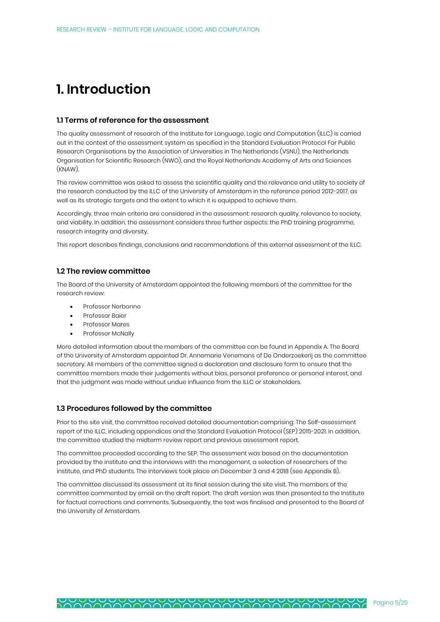# **1. Introduction**

#### **1.1 Terms of reference for the assessment**

The quality assessment of research of the Institute for Language, Logic and Computation (ILLC) is carried out in the context of the assessment system as specified in the Standard Evaluation Protocol For Public Research Organisations by the Association of Universities in The Netherlands (VSNU), the Netherlands Organisation for Scientific Research (NWO), and the Royal Netherlands Academy of Arts and Sciences (KNAW).

The review committee was asked to assess the scientific quality and the relevance and utility to society of the research conducted by the ILLC of the University of Amsterdam in the reference period 2012-2017, as well as its strategic targets and the extent to which it is equipped to achieve them.

Accordingly, three main criteria are considered in the assessment: research quality, relevance to society, and viability. In addition, the assessment considers three further aspects: the PhD training programme, research integrity and diversity.

This report describes findings, conclusions and recommendations of this external assessment of the ILLC.

### **1.2 The review committee**

The Board of the University of Amsterdam appointed the following members of the committee for the research review:

- Professor Nerbonne
- Professor Baier
- Professor Mares
- Professor McNally

More detailed information about the members of the committee can be found in Appendix A. The Board of the University of Amsterdam appointed Dr. Annemarie Venemans of De Onderzoekerij as the committee secretary. All members of the committee signed a declaration and disclosure form to ensure that the committee members made their judgements without bias, personal preference or personal interest, and that the judgment was made without undue influence from the ILLC or stakeholders.

#### **1.3 Procedures followed by the committee**

Prior to the site visit, the committee received detailed documentation comprising: The Self-assessment report of the ILLC, including appendices and the Standard Evaluation Protocol (SEP) 2015-2021. In addition, the committee studied the midterm review report and previous assessment report.

The committee proceeded according to the SEP. The assessment was based on the documentation provided by the institute and the interviews with the management, a selection of researchers of the institute, and PhD students. The interviews took place on December 3 and 4 2018 (see Appendix B).

The committee discussed its assessment at its final session during the site visit. The members of the committee commented by email on the draft report. The draft version was then presented to the Institute for factual corrections and comments. Subsequently, the text was finalised and presented to the Board of the University of Amsterdam.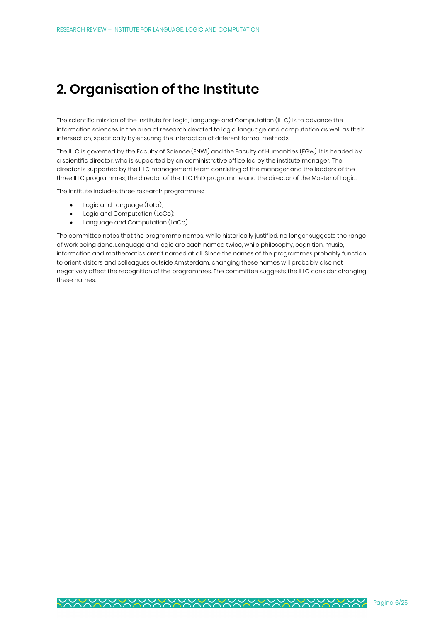# **2. Organisation of the Institute**

The scientific mission of the Institute for Logic, Language and Computation (ILLC) is to advance the information sciences in the area of research devoted to logic, language and computation as well as their intersection, specifically by ensuring the interaction of different formal methods.

The ILLC is governed by the Faculty of Science (FNWI) and the Faculty of Humanities (FGw). It is headed by a scientific director, who is supported by an administrative office led by the institute manager. The director is supported by the ILLC management team consisting of the manager and the leaders of the three ILLC programmes, the director of the ILLC PhD programme and the director of the Master of Logic.

The Institute includes three research programmes:

- Logic and Language (LoLa);
- Logic and Computation (LoCo);
- Language and Computation (LaCo).

The committee notes that the programme names, while historically justified, no longer suggests the range of work being done. Language and logic are each named twice, while philosophy, cognition, music, information and mathematics aren't named at all. Since the names of the programmes probably function to orient visitors and colleagues outside Amsterdam, changing these names will probably also not negatively affect the recognition of the programmes. The committee suggests the ILLC consider changing these names.

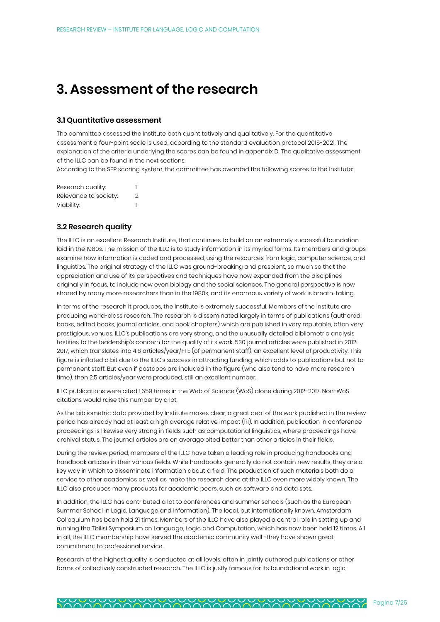# **3. Assessment of the research**

### **3.1 Quantitative assessment**

The committee assessed the Institute both quantitatively and qualitatively. For the quantitative assessment a four-point scale is used, according to the standard evaluation protocol 2015-2021. The explanation of the criteria underlying the scores can be found in appendix D. The qualitative assessment of the ILLC can be found in the next sections.

According to the SEP scoring system, the committee has awarded the following scores to the Institute:

| Research quality:     |   |
|-----------------------|---|
| Relevance to society: | 2 |
| Viability:            |   |

### **3.2 Research quality**

The ILLC is an excellent Research Institute, that continues to build on an extremely successful foundation laid in the 1980s. The mission of the ILLC is to study information in its myriad forms. Its members and groups examine how information is coded and processed, using the resources from logic, computer science, and linguistics. The original strategy of the ILLC was ground-breaking and prescient, so much so that the appreciation and use of its perspectives and techniques have now expanded from the disciplines originally in focus, to include now even biology and the social sciences. The general perspective is now shared by many more researchers than in the 1980s, and its enormous variety of work is breath-taking.

In terms of the research it produces, the Institute is extremely successful. Members of the Institute are producing world-class research. The research is disseminated largely in terms of publications (authored books, edited books, journal articles, and book chapters) which are published in very reputable, often very prestigious, venues. ILLC's publications are very strong, and the unusually detailed bibliometric analysis testifies to the leadership's concern for the quality of its work. 530 journal articles were published in 2012- 2017, which translates into 4.6 articles/year/FTE (of permanent staff), an excellent level of productivity. This figure is inflated a bit due to the ILLC's success in attracting funding, which adds to publications but not to permanent staff. But even if postdocs are included in the figure (who also tend to have more research time), then 2.5 articles/year were produced, still an excellent number.

ILLC publications were cited 1,659 times in the Web of Science (WoS) alone during 2012-2017. Non-WoS citations would raise this number by a lot.

As the bibliometric data provided by Institute makes clear, a great deal of the work published in the review period has already had at least a high average relative impact (RI). In addition, publication in conference proceedings is likewise very strong in fields such as computational linguistics, where proceedings have archival status. The journal articles are on average cited better than other articles in their fields.

During the review period, members of the ILLC have taken a leading role in producing handbooks and handbook articles in their various fields. While handbooks generally do not contain new results, they are a key way in which to disseminate information about a field. The production of such materials both do a service to other academics as well as make the research done at the ILLC even more widely known. The ILLC also produces many products for academic peers, such as software and data sets.

In addition, the ILLC has contributed a lot to conferences and summer schools (such as the European Summer School in Logic, Language and Information). The local, but internationally known, Amsterdam Colloquium has been held 21 times. Members of the ILLC have also played a central role in setting up and running the Tbilisi Symposium on Language, Logic and Computation, which has now been held 12 times. All in all, the ILLC membership have served the academic community well -they have shown great commitment to professional service.

Research of the highest quality is conducted at all levels, often in jointly authored publications or other forms of collectively constructed research. The ILLC is justly famous for its foundational work in logic,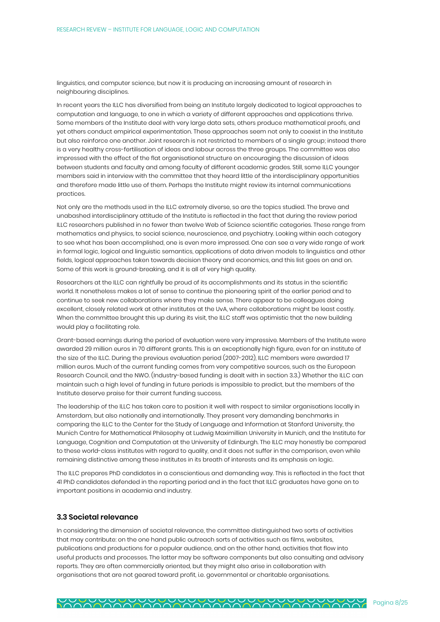linguistics, and computer science, but now it is producing an increasing amount of research in neighbouring disciplines.

In recent years the ILLC has diversified from being an Institute largely dedicated to logical approaches to computation and language, to one in which a variety of different approaches and applications thrive. Some members of the Institute deal with very large data sets, others produce mathematical proofs, and yet others conduct empirical experimentation. These approaches seem not only to coexist in the Institute but also reinforce one another. Joint research is not restricted to members of a single group; instead there is a very healthy cross-fertilisation of ideas and labour across the three groups. The committee was also impressed with the effect of the flat organisational structure on encouraging the discussion of ideas between students and faculty and among faculty of different academic grades. Still, some ILLC younger members said in interview with the committee that they heard little of the interdisciplinary opportunities and therefore made little use of them. Perhaps the Institute might review its internal communications practices.

Not only are the methods used in the ILLC extremely diverse, so are the topics studied. The brave and unabashed interdisciplinary attitude of the Institute is reflected in the fact that during the review period ILLC researchers published in no fewer than twelve Web of Science scientific categories. These range from mathematics and physics, to social science, neuroscience, and psychiatry. Looking within each category to see what has been accomplished, one is even more impressed. One can see a very wide range of work in formal logic, logical and linguistic semantics, applications of data driven models to linguistics and other fields, logical approaches taken towards decision theory and economics, and this list goes on and on. Some of this work is ground-breaking, and it is all of very high quality.

Researchers at the ILLC can rightfully be proud of its accomplishments and its status in the scientific world. It nonetheless makes a lot of sense to continue the pioneering spirit of the earlier period and to continue to seek new collaborations where they make sense. There appear to be colleagues doing excellent, closely related work at other institutes at the UvA, where collaborations might be least costly. When the committee brought this up during its visit, the ILLC staff was optimistic that the new building would play a facilitating role.

Grant-based earnings during the period of evaluation were very impressive. Members of the Institute were awarded 29 million euros in 70 different grants. This is an exceptionally high figure, even for an institute of the size of the ILLC. During the previous evaluation period (2007-2012), ILLC members were awarded 17 million euros. Much of the current funding comes from very competitive sources, such as the European Research Council, and the NWO. (Industry-based funding is dealt with in section 3.3.) Whether the ILLC can maintain such a high level of funding in future periods is impossible to predict, but the members of the Institute deserve praise for their current funding success.

The leadership of the ILLC has taken care to position it well with respect to similar organisations locally in Amsterdam, but also nationally and internationally. They present very demanding benchmarks in comparing the ILLC to the Center for the Study of Language and Information at Stanford University, the Munich Centre for Mathematical Philosophy at Ludwig Maximillian University in Munich, and the Institute for Language, Cognition and Computation at the University of Edinburgh. The ILLC may honestly be compared to these world-class institutes with regard to quality, and it does not suffer in the comparison, even while remaining distinctive among these institutes in its breath of interests and its emphasis on logic.

The ILLC prepares PhD candidates in a conscientious and demanding way. This is reflected in the fact that 41 PhD candidates defended in the reporting period and in the fact that ILLC graduates have gone on to important positions in academia and industry.

#### **3.3 Societal relevance**

In considering the dimension of societal relevance, the committee distinguished two sorts of activities that may contribute: on the one hand public outreach sorts of activities such as films, websites, publications and productions for a popular audience, and on the other hand, activities that flow into useful products and processes. The latter may be software components but also consulting and advisory reports. They are often commercially oriented, but they might also arise in collaboration with organisations that are not geared toward profit, i.e. governmental or charitable organisations.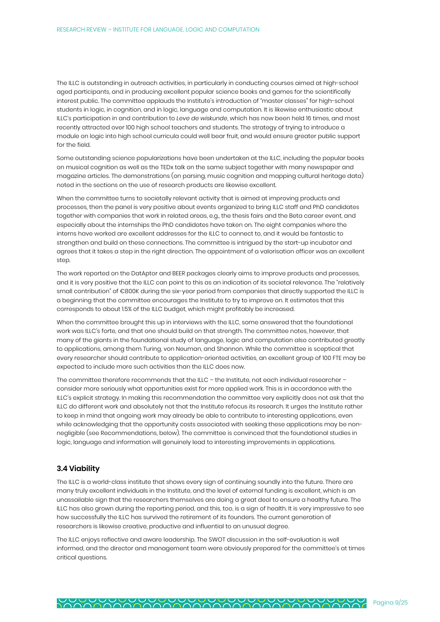The ILLC is outstanding in outreach activities, in particularly in conducting courses aimed at high-school aged participants, and in producing excellent popular science books and games for the scientifically interest public. The committee applauds the Institute's introduction of "master classes" for high-school students in logic, in cognition, and in logic, language and computation. It is likewise enthusiastic about ILLC's participation in and contribution to *Leve de wiskunde*, which has now been held 16 times, and most recently attracted over 100 high school teachers and students. The strategy of trying to introduce a module on logic into high school curricula could well bear fruit, and would ensure greater public support for the field.

Some outstanding science popularizations have been undertaken at the ILLC, including the popular books on musical cognition as well as the TEDx talk on the same subject together with many newspaper and magazine articles. The demonstrations (on parsing, music cognition and mapping cultural heritage data) noted in the sections on the use of research products are likewise excellent.

When the committee turns to societally relevant activity that is aimed at improving products and processes, then the panel is very positive about events organized to bring ILLC staff and PhD candidates together with companies that work in related areas, e.g., the thesis fairs and the Beta career event, and especially about the internships the PhD candidates have taken on. The eight companies where the interns have worked are excellent addresses for the ILLC to connect to, and it would be fantastic to strengthen and build on these connections. The committee is intrigued by the start-up incubator and agrees that it takes a step in the right direction. The appointment of a valorisation officer was an excellent step.

The work reported on the DatAptor and BEER packages clearly aims to improve products and processes, and it is very positive that the ILLC can point to this as an indication of its societal relevance. The "relatively small contribution" of €800K during the six-year period from companies that directly supported the ILLC is a beginning that the committee encourages the Institute to try to improve on. It estimates that this corresponds to about 1.5% of the ILLC budget, which might profitably be increased.

When the committee brought this up in interviews with the ILLC, some answered that the foundational work was ILLC's forte, and that one should build on that strength. The committee notes, however, that many of the giants in the foundational study of language, logic and computation also contributed greatly to applications, among them Turing, von Neuman, and Shannon. While the committee is sceptical that every researcher should contribute to application-oriented activities, an excellent group of 100 FTE may be expected to include more such activities than the ILLC does now.

The committee therefore recommends that the ILLC - the Institute, not each individual researcher consider more seriously what opportunities exist for more applied work. This is in accordance with the ILLC's explicit strategy. In making this recommendation the committee very explicitly does not ask that the ILLC do different work and absolutely not that the Institute refocus its research. It urges the Institute rather to keep in mind that ongoing work may already be able to contribute to interesting applications, even while acknowledging that the opportunity costs associated with seeking these applications may be nonnegligible (see Recommendations, below). The committee is convinced that the foundational studies in logic, language and information will genuinely lead to interesting improvements in applications.

### **3.4 Viability**

The ILLC is a world-class institute that shows every sign of continuing soundly into the future. There are many truly excellent individuals in the Institute, and the level of external funding is excellent, which is an unassailable sign that the researchers themselves are doing a great deal to ensure a healthy future. The ILLC has also grown during the reporting period, and this, too, is a sign of health. It is very impressive to see how successfully the ILLC has survived the retirement of its founders. The current generation of researchers is likewise creative, productive and influential to an unusual degree.

The ILLC enjoys reflective and aware leadership. The SWOT discussion in the self-evaluation is well informed, and the director and management team were obviously prepared for the committee's at times critical questions.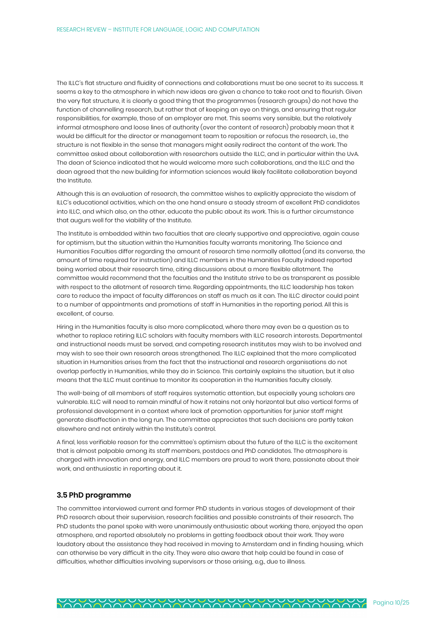The ILLC's flat structure and fluidity of connections and collaborations must be one secret to its success. It seems a key to the atmosphere in which new ideas are given a chance to take root and to flourish. Given the very flat structure, it is clearly a good thing that the programmes (research groups) do not have the function of channelling research, but rather that of keeping an eye on things, and ensuring that regular responsibilities, for example, those of an employer are met. This seems very sensible, but the relatively informal atmosphere and loose lines of authority (over the content of research) probably mean that it would be difficult for the director or management team to reposition or refocus the research, i.e., the structure is not flexible in the sense that managers might easily redirect the content of the work. The committee asked about collaboration with researchers outside the ILLC, and in particular within the UvA. The dean of Science indicated that he would welcome more such collaborations, and the ILLC and the dean agreed that the new building for information sciences would likely facilitate collaboration beyond the Institute.

Although this is an evaluation of research, the committee wishes to explicitly appreciate the wisdom of ILLC's educational activities, which on the one hand ensure a steady stream of excellent PhD candidates into ILLC, and which also, on the other, educate the public about its work. This is a further circumstance that augurs well for the viability of the Institute.

The Institute is embedded within two faculties that are clearly supportive and appreciative, again cause for optimism, but the situation within the Humanities faculty warrants monitoring. The Science and Humanities Faculties differ regarding the amount of research time normally allotted (and its converse, the amount of time required for instruction) and ILLC members in the Humanities Faculty indeed reported being worried about their research time, citing discussions about a more flexible allotment. The committee would recommend that the faculties and the Institute strive to be as transparent as possible with respect to the allotment of research time. Regarding appointments, the ILLC leadership has taken care to reduce the impact of faculty differences on staff as much as it can. The ILLC director could point to a number of appointments and promotions of staff in Humanities in the reporting period. All this is excellent, of course.

Hiring in the Humanities faculty is also more complicated, where there may even be a question as to whether to replace retiring ILLC scholars with faculty members with ILLC research interests. Departmental and instructional needs must be served, and competing research institutes may wish to be involved and may wish to see their own research areas strengthened. The ILLC explained that the more complicated situation in Humanities arises from the fact that the instructional and research organisations do not overlap perfectly in Humanities, while they do in Science. This certainly explains the situation, but it also means that the ILLC must continue to monitor its cooperation in the Humanities faculty closely.

The well-being of all members of staff requires systematic attention, but especially young scholars are vulnerable. ILLC will need to remain mindful of how it retains not only horizontal but also vertical forms of professional development in a context where lack of promotion opportunities for junior staff might generate disaffection in the long run. The committee appreciates that such decisions are partly taken elsewhere and not entirely within the Institute's control.

A final, less verifiable reason for the committee's optimism about the future of the ILLC is the excitement that is almost palpable among its staff members, postdocs and PhD candidates. The atmosphere is charged with innovation and energy, and ILLC members are proud to work there, passionate about their work, and enthusiastic in reporting about it.

#### **3.5 PhD programme**

The committee interviewed current and former PhD students in various stages of development of their PhD research about their supervision, research facilities and possible constraints of their research. The PhD students the panel spoke with were unanimously enthusiastic about working there, enjoyed the open atmosphere, and reported absolutely no problems in getting feedback about their work. They were laudatory about the assistance they had received in moving to Amsterdam and in finding housing, which can otherwise be very difficult in the city. They were also aware that help could be found in case of difficulties, whether difficulties involving supervisors or those arising, e.g., due to illness.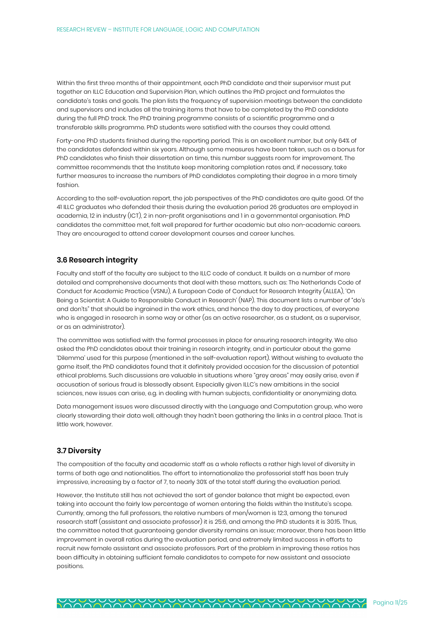Within the first three months of their appointment, each PhD candidate and their supervisor must put together an ILLC Education and Supervision Plan, which outlines the PhD project and formulates the candidate's tasks and goals. The plan lists the frequency of supervision meetings between the candidate and supervisors and includes all the training items that have to be completed by the PhD candidate during the full PhD track. The PhD training programme consists of a scientific programme and a transferable skills programme. PhD students were satisfied with the courses they could attend.

Forty-one PhD students finished during the reporting period. This is an excellent number, but only 64% of the candidates defended within six years. Although some measures have been taken, such as a bonus for PhD candidates who finish their dissertation on time, this number suggests room for improvement. The committee recommends that the Institute keep monitoring completion rates and, if necessary, take further measures to increase the numbers of PhD candidates completing their degree in a more timely fashion.

According to the self-evaluation report, the job perspectives of the PhD candidates are quite good. Of the 41 ILLC graduates who defended their thesis during the evaluation period 26 graduates are employed in academia, 12 in industry (ICT), 2 in non-profit organisations and 1 in a governmental organisation. PhD candidates the committee met, felt well prepared for further academic but also non-academic careers. They are encouraged to attend career development courses and career lunches.

### **3.6 Research integrity**

Faculty and staff of the faculty are subject to the ILLC code of conduct. It builds on a number of more detailed and comprehensive documents that deal with these matters, such as: The Netherlands Code of Conduct for Academic Practice (VSNU), A European Code of Conduct for Research Integrity (ALLEA), 'On Being a Scientist: A Guide to Responsible Conduct in Research' (NAP). This document lists a number of "do's and don'ts" that should be ingrained in the work ethics, and hence the day to day practices, of everyone who is engaged in research in some way or other (as an active researcher, as a student, as a supervisor, or as an administrator).

The committee was satisfied with the formal processes in place for ensuring research integrity. We also asked the PhD candidates about their training in research integrity, and in particular about the game 'Dilemma' used for this purpose (mentioned in the self-evaluation report). Without wishing to evaluate the game itself, the PhD candidates found that it definitely provided occasion for the discussion of potential ethical problems. Such discussions are valuable in situations where "grey areas" may easily arise, even if accusation of serious fraud is blessedly absent. Especially given ILLC's new ambitions in the social sciences, new issues can arise, e.g. in dealing with human subjects, confidentiality or anonymizing data.

Data management issues were discussed directly with the Language and Computation group, who were clearly stewarding their data well, although they hadn't been gathering the links in a central place. That is little work, however.

### **3.7 Diversity**

The composition of the faculty and academic staff as a whole reflects a rather high level of diversity in terms of both age and nationalities. The effort to internationalize the professorial staff has been truly impressive, increasing by a factor of 7, to nearly 30% of the total staff during the evaluation period.

However, the Institute still has not achieved the sort of gender balance that might be expected, even taking into account the fairly low percentage of women entering the fields within the Institute's scope. Currently, among the full professors, the relative numbers of men/women is 12:3, among the tenured research staff (assistant and associate professor) it is 25:6, and among the PhD students it is 30:15. Thus, the committee noted that guaranteeing gender diversity remains an issue; moreover, there has been little improvement in overall ratios during the evaluation period, and extremely limited success in efforts to recruit new female assistant and associate professors. Part of the problem in improving these ratios has been difficulty in obtaining sufficient female candidates to compete for new assistant and associate positions.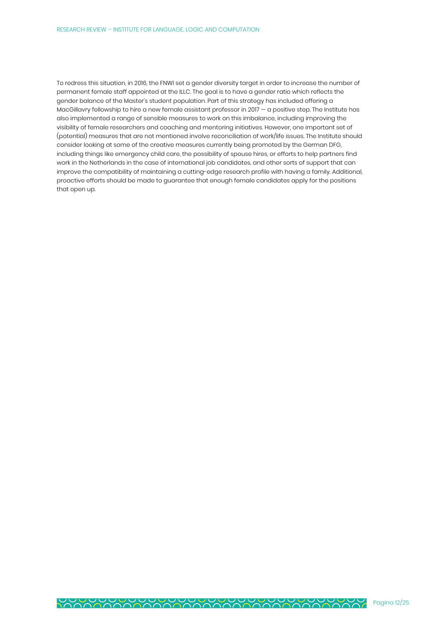To redress this situation, in 2016, the FNWI set a gender diversity target in order to increase the number of permanent female staff appointed at the ILLC. The goal is to have a gender ratio which reflects the gender balance of the Master's student population. Part of this strategy has included offering a MacGillavry fellowship to hire a new female assistant professor in 2017 - a positive step. The Institute has also implemented a range of sensible measures to work on this imbalance, including improving the visibility of female researchers and coaching and mentoring initiatives. However, one important set of (potential) measures that are not mentioned involve reconciliation of work/life issues. The Institute should consider looking at some of the creative measures currently being promoted by the German DFG, including things like emergency child care, the possibility of spouse hires, or efforts to help partners find work in the Netherlands in the case of international job candidates, and other sorts of support that can improve the compatibility of maintaining a cutting-edge research profile with having a family. Additional, proactive efforts should be made to guarantee that enough female candidates apply for the positions that open up.

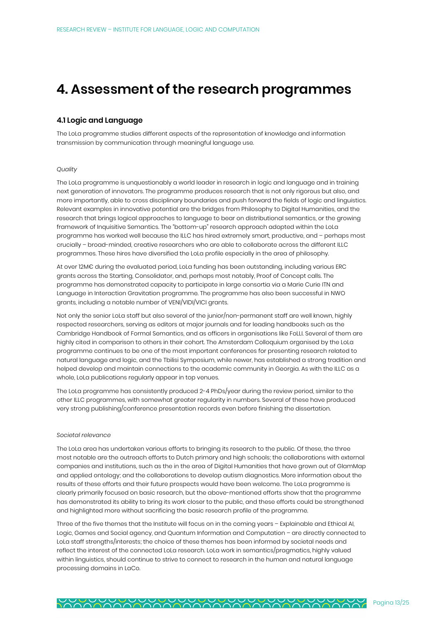## **4. Assessment of the research programmes**

### **4.1 Logic and Language**

The LoLa programme studies different aspects of the representation of knowledge and information transmission by communication through meaningful language use.

#### *Quality*

The LoLa programme is unquestionably a world leader in research in logic and language and in training next generation of innovators. The programme produces research that is not only rigorous but also, and more importantly, able to cross disciplinary boundaries and push forward the fields of logic and linguistics. Relevant examples in innovative potential are the bridges from Philosophy to Digital Humanities, and the research that brings logical approaches to language to bear on distributional semantics, or the growing framework of Inquisitive Semantics. The "bottom-up" research approach adopted within the LoLa programme has worked well because the ILLC has hired extremely smart, productive, and – perhaps most crucially – broad-minded, creative researchers who are able to collaborate across the different ILLC programmes. These hires have diversified the LoLa profile especially in the area of philosophy.

At over 12M€ during the evaluated period, LoLa funding has been outstanding, including various ERC grants across the Starting, Consolidator, and, perhaps most notably, Proof of Concept calls. The programme has demonstrated capacity to participate in large consortia via a Marie Curie ITN and Language in Interaction Gravitation programme. The programme has also been successful in NWO grants, including a notable number of VENI/VIDI/VICI grants.

Not only the senior LoLa staff but also several of the junior/non-permanent staff are well known, highly respected researchers, serving as editors at major journals and for leading handbooks such as the Cambridge Handbook of Formal Semantics, and as officers in organisations like FoLLI. Several of them are highly cited in comparison to others in their cohort. The Amsterdam Colloquium organised by the LoLa programme continues to be one of the most important conferences for presenting research related to natural language and logic, and the Tbilisi Symposium, while newer, has established a strong tradition and helped develop and maintain connections to the academic community in Georgia. As with the ILLC as a whole, LoLa publications regularly appear in top venues.

The LoLa programme has consistently produced 2-4 PhDs/year during the review period, similar to the other ILLC programmes, with somewhat greater regularity in numbers. Several of these have produced very strong publishing/conference presentation records even before finishing the dissertation.

#### *Societal relevance*

The LoLa area has undertaken various efforts to bringing its research to the public. Of these, the three most notable are the outreach efforts to Dutch primary and high schools; the collaborations with external companies and institutions, such as the in the area of Digital Humanities that have grown out of GlamMap and applied ontology; and the collaborations to develop autism diagnostics. More information about the results of these efforts and their future prospects would have been welcome. The LoLa programme is clearly primarily focused on basic research, but the above-mentioned efforts show that the programme has demonstrated its ability to bring its work closer to the public, and these efforts could be strengthened and highlighted more without sacrificing the basic research profile of the programme.

Three of the five themes that the Institute will focus on in the coming years – Explainable and Ethical AI, Logic, Games and Social agency, and Quantum Information and Computation – are directly connected to LoLa staff strengths/interests; the choice of these themes has been informed by societal needs and reflect the interest of the connected LoLa research. LoLa work in semantics/pragmatics, highly valued within linguistics, should continue to strive to connect to research in the human and natural language processing domains in LaCo.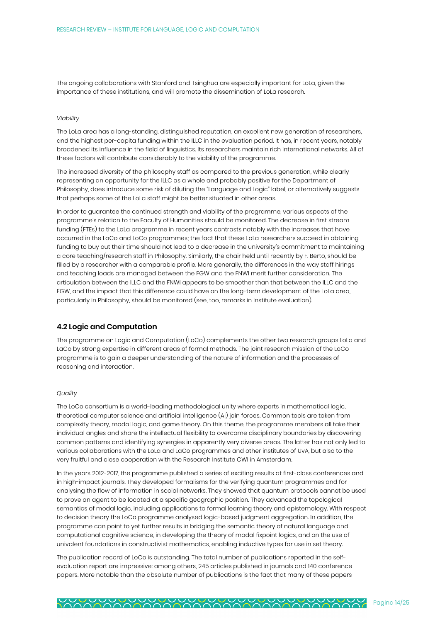The ongoing collaborations with Stanford and Tsinghua are especially important for LoLa, given the importance of these institutions, and will promote the dissemination of LoLa research.

#### *Viability*

The LoLa area has a long-standing, distinguished reputation, an excellent new generation of researchers, and the highest per-capita funding within the ILLC in the evaluation period. It has, in recent years, notably broadened its influence in the field of linguistics. Its researchers maintain rich international networks. All of these factors will contribute considerably to the viability of the programme.

The increased diversity of the philosophy staff as compared to the previous generation, while clearly representing an opportunity for the ILLC as a whole and probably positive for the Department of Philosophy, does introduce some risk of diluting the "Language and Logic" label, or alternatively suggests that perhaps some of the LoLa staff might be better situated in other areas.

In order to guarantee the continued strength and viability of the programme, various aspects of the programme's relation to the Faculty of Humanities should be monitored. The decrease in first stream funding (FTEs) to the LoLa programme in recent years contrasts notably with the increases that have occurred in the LaCo and LoCo programmes; the fact that these LoLa researchers succeed in obtaining funding to buy out their time should not lead to a decrease in the university's commitment to maintaining a core teaching/research staff in Philosophy. Similarly, the chair held until recently by F. Berto, should be filled by a researcher with a comparable profile. More generally, the differences in the way staff hirings and teaching loads are managed between the FGW and the FNWI merit further consideration. The articulation between the ILLC and the FNWI appears to be smoother than that between the ILLC and the FGW, and the impact that this difference could have on the long-term development of the LoLa area, particularly in Philosophy, should be monitored (see, too, remarks in Institute evaluation).

### **4.2 Logic and Computation**

The programme on Logic and Computation (LoCo) complements the other two research groups LoLa and LaCo by strong expertise in different areas of formal methods. The joint research mission of the LoCo programme is to gain a deeper understanding of the nature of information and the processes of reasoning and interaction.

#### *Quality*

The LoCo consortium is a world-leading methodological unity where experts in mathematical logic, theoretical computer science and artificial intelligence (AI) join forces. Common tools are taken from complexity theory, modal logic, and game theory. On this theme, the programme members all take their individual angles and share the intellectual flexibility to overcome disciplinary boundaries by discovering common patterns and identifying synergies in apparently very diverse areas. The latter has not only led to various collaborations with the LoLa and LaCo programmes and other institutes of UvA, but also to the very fruitful and close cooperation with the Research Institute CWI in Amsterdam.

In the years 2012-2017, the programme published a series of exciting results at first-class conferences and in high-impact journals. They developed formalisms for the verifying quantum programmes and for analysing the flow of information in social networks. They showed that quantum protocols cannot be used to prove an agent to be located at a specific geographic position. They advanced the topological semantics of modal logic, including applications to formal learning theory and epistemology. With respect to decision theory the LoCo programme analysed logic-based judgment aggregation. In addition, the programme can point to yet further results in bridging the semantic theory of natural language and computational cognitive science, in developing the theory of modal fixpoint logics, and on the use of univalent foundations in constructivist mathematics, enabling inductive types for use in set theory.

The publication record of LoCo is outstanding. The total number of publications reported in the selfevaluation report are impressive: among others, 245 articles published in journals and 140 conference papers. More notable than the absolute number of publications is the fact that many of these papers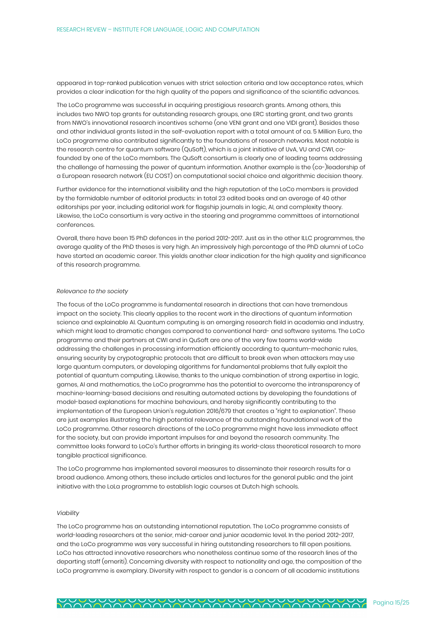appeared in top-ranked publication venues with strict selection criteria and low acceptance rates, which provides a clear indication for the high quality of the papers and significance of the scientific advances.

The LoCo programme was successful in acquiring prestigious research grants. Among others, this includes two NWO top grants for outstanding research groups, one ERC starting grant, and two grants from NWO's innovational research incentives scheme (one VENI grant and one VIDI grant). Besides these and other individual grants listed in the self-evaluation report with a total amount of ca. 5 Million Euro, the LoCo programme also contributed significantly to the foundations of research networks. Most notable is the research centre for quantum software (QuSoft), which is a joint initiative of UvA, VU and CWI, cofounded by one of the LoCo members. The QuSoft consortium is clearly one of leading teams addressing the challenge of harnessing the power of quantum information. Another example is the (co-)leadership of a European research network (EU COST) on computational social choice and algorithmic decision theory.

Further evidence for the international visibility and the high reputation of the LoCo members is provided by the formidable number of editorial products: in total 23 edited books and an average of 40 other editorships per year, including editorial work for flagship journals in logic, AI, and complexity theory. Likewise, the LoCo consortium is very active in the steering and programme committees of international conferences.

Overall, there have been 15 PhD defences in the period 2012-2017. Just as in the other ILLC programmes, the average quality of the PhD theses is very high. An impressively high percentage of the PhD alumni of LoCo have started an academic career. This yields another clear indication for the high quality and significance of this research programme.

#### *Relevance to the society*

The focus of the LoCo programme is fundamental research in directions that can have tremendous impact on the society. This clearly applies to the recent work in the directions of quantum information science and explainable AI. Quantum computing is an emerging research field in academia and industry, which might lead to dramatic changes compared to conventional hard- and software systems. The LoCo programme and their partners at CWI and in QuSoft are one of the very few teams world-wide addressing the challenges in processing information efficiently according to quantum-mechanic rules, ensuring security by crypotographic protocols that are difficult to break even when attackers may use large quantum computers, or developing algorithms for fundamental problems that fully exploit the potential of quantum computing. Likewise, thanks to the unique combination of strong expertise in logic, games, AI and mathematics, the LoCo programme has the potential to overcome the intransparency of machine-learning-based decisions and resulting automated actions by developing the foundations of model-based explanations for machine behaviours, and hereby significantly contributing to the implementation of the European Union's regulation 2016/679 that creates a "right to explanation". These are just examples illustrating the high potential relevance of the outstanding foundational work of the LoCo programme. Other research directions of the LoCo programme might have less immediate effect for the society, but can provide important impulses for and beyond the research community. The committee looks forward to LoCo's further efforts in bringing its world-class theoretical research to more tangible practical significance.

The LoCo programme has implemented several measures to disseminate their research results for a broad audience. Among others, these include articles and lectures for the general public and the joint initiative with the LoLa programme to establish logic courses at Dutch high schools.

#### *Viability*

The LoCo programme has an outstanding international reputation. The LoCo programme consists of world-leading researchers at the senior, mid-career and junior academic level. In the period 2012-2017, and the LoCo programme was very successful in hiring outstanding researchers to fill open positions. LoCo has attracted innovative researchers who nonetheless continue some of the research lines of the departing staff (emeriti). Concerning diversity with respect to nationality and age, the composition of the LoCo programme is exemplary. Diversity with respect to gender is a concern of all academic institutions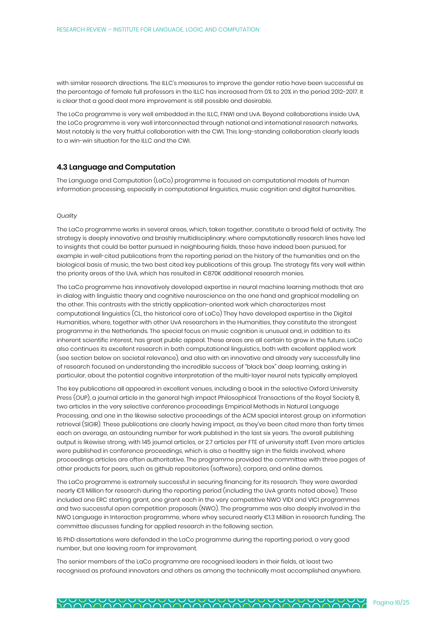with similar research directions. The ILLC's measures to improve the gender ratio have been successful as the percentage of female full professors in the ILLC has increased from 0% to 20% in the period 2012-2017. It is clear that a good deal more improvement is still possible and desirable.

The LoCo programme is very well embedded in the ILLC, FNWI and UvA. Beyond collaborations inside UvA, the LoCo programme is very well interconnected through national and international research networks. Most notably is the very fruitful collaboration with the CWI. This long-standing collaboration clearly leads to a win-win situation for the ILLC and the CWI.

#### **4.3 Language and Computation**

The Language and Computation (LaCo) programme is focused on computational models of human information processing, especially in computational linguistics, music cognition and digital humanities.

#### *Quality*

The LaCo programme works in several areas, which, taken together, constitute a broad field of activity. The strategy is deeply innovative and brashly multidisciplinary: where computationally research lines have led to insights that could be better pursued in neighbouring fields, these have indeed been pursued, for example in well-cited publications from the reporting period on the history of the humanities and on the biological basis of music, the two best cited key publications of this group. The strategy fits very well within the priority areas of the UvA, which has resulted in €870K additional research monies.

The LaCo programme has innovatively developed expertise in neural machine learning methods that are in dialog with linguistic theory and cognitive neuroscience on the one hand and graphical modelling on the other. This contrasts with the strictly application-oriented work which characterizes most computational linguistics (CL, the historical core of LaCo) They have developed expertise in the Digital Humanities, where, together with other UvA researchers in the Humanities, they constitute the strongest programme in the Netherlands. The special focus on music cognition is unusual and, in addition to its inherent scientific interest, has great public appeal. These areas are all certain to grow in the future. LaCo also continues its excellent research in both computational linguistics, both with excellent applied work (see section below on societal relevance), and also with an innovative and already very successfully line of research focused on understanding the incredible success of "black box" deep learning, asking in particular, about the potential cognitive interpretation of the multi-layer neural nets typically employed.

The key publications all appeared in excellent venues, including a book in the selective Oxford University Press (OUP), a journal article in the general high impact Philosophical Transactions of the Royal Society B, two articles in the very selective conference proceedings Empirical Methods in Natural Language Processing, and one in the likewise selective proceedings of the ACM special interest group on information retrieval (SIGIR). These publications are clearly having impact, as they've been cited more than forty times each on average, an astounding number for work published in the last six years. The overall publishing output is likewise strong, with 145 journal articles, or 2.7 articles per FTE of university staff. Even more articles were published in conference proceedings, which is also a healthy sign in the fields involved, where proceedings articles are often authoritative. The programme provided the committee with three pages of other products for peers, such as github repositories (software), corpora, and online demos.

The LaCo programme is extremely successful in securing financing for its research. They were awarded nearly €11 Million for research during the reporting period (including the UvA grants noted above). These included one ERC starting grant, one grant each in the very competitive NWO VIDI and VICI programmes and two successful open competition proposals (NWO). The programme was also deeply involved in the NWO Language in Interaction programme, where whey secured nearly €1.3 Million in research funding. The committee discusses funding for applied research in the following section.

16 PhD dissertations were defended in the LaCo programme during the reporting period, a very good number, but one leaving room for improvement.

The senior members of the LaCo programme are recognised leaders in their fields, at least two recognised as profound innovators and others as among the technically most accomplished anywhere.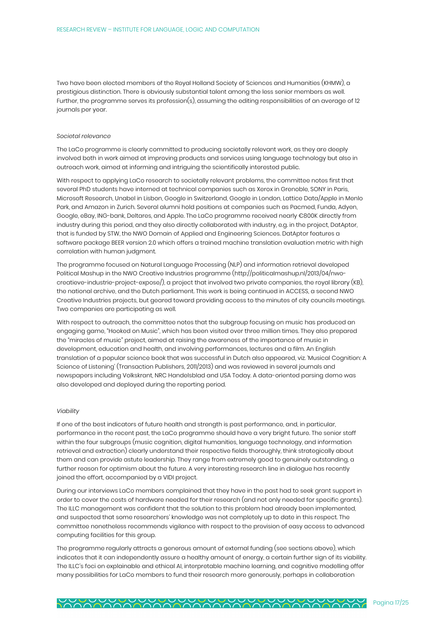Two have been elected members of the Royal Holland Society of Sciences and Humanities (KHMW), a prestigious distinction. There is obviously substantial talent among the less senior members as well. Further, the programme serves its profession(s), assuming the editing responsibilities of an average of 12 journals per year.

#### *Societal relevance*

The LaCo programme is clearly committed to producing societally relevant work, as they are deeply involved both in work aimed at improving products and services using language technology but also in outreach work, aimed at informing and intriguing the scientifically interested public.

With respect to applying LaCo research to societally relevant problems, the committee notes first that several PhD students have interned at technical companies such as Xerox in Grenoble, SONY in Paris, Microsoft Research, Unabel in Lisbon, Google in Switzerland, Google in London, Lattice Data/Apple in Menlo Park, and Amazon in Zurich. Several alumni hold positions at companies such as Pacmed, Funda, Adyen, Google, eBay, ING-bank, Deltares, and Apple. The LaCo programme received nearly €800K directly from industry during this period, and they also directly collaborated with industry, e.g. in the project, DatAptor, that is funded by STW, the NWO Domain of Applied and Engineering Sciences. DatAptor features a software package BEER version 2.0 which offers a trained machine translation evaluation metric with high correlation with human judgment.

The programme focused on Natural Language Processing (NLP) and information retrieval developed Political Mashup in the NWO Creative Industries programme (http://politicalmashup.nl/2013/04/nwocreatieve-industrie-project-expose/), a project that involved two private companies, the royal library (KB), the national archive, and the Dutch parliament. This work is being continued in ACCESS, a second NWO Creative Industries projects, but geared toward providing access to the minutes of city councils meetings. Two companies are participating as well.

With respect to outreach, the committee notes that the subgroup focusing on music has produced an engaging game, "Hooked on Music", which has been visited over three million times. They also prepared the "miracles of music" project, aimed at raising the awareness of the importance of music in development, education and health, and involving performances, lectures and a film. An English translation of a popular science book that was successful in Dutch also appeared, viz. 'Musical Cognition: A Science of Listening' (Transaction Publishers, 2011/2013) and was reviewed in several journals and newspapers including Volkskrant, NRC Handelsblad and USA Today. A data-oriented parsing demo was also developed and deployed during the reporting period.

#### *Viability*

If one of the best indicators of future health and strength is past performance, and, in particular, performance in the recent past, the LaCo programme should have a very bright future. The senior staff within the four subgroups (music cognition, digital humanities, language technology, and information retrieval and extraction) clearly understand their respective fields thoroughly, think strategically about them and can provide astute leadership. They range from extremely good to genuinely outstanding, a further reason for optimism about the future. A very interesting research line in dialogue has recently joined the effort, accompanied by a VIDI project.

During our interviews LaCo members complained that they have in the past had to seek grant support in order to cover the costs of hardware needed for their research (and not only needed for specific grants). The ILLC management was confident that the solution to this problem had already been implemented, and suspected that some researchers' knowledge was not completely up to date in this respect. The committee nonetheless recommends vigilance with respect to the provision of easy access to advanced computing facilities for this group.

The programme regularly attracts a generous amount of external funding (see sections above), which indicates that it can independently assure a healthy amount of energy, a certain further sign of its viability. The ILLC's foci on explainable and ethical AI, interpretable machine learning, and cognitive modelling offer many possibilities for LaCo members to fund their research more generously, perhaps in collaboration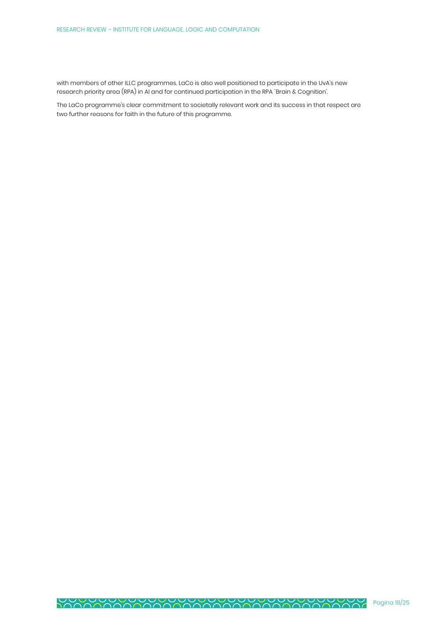with members of other ILLC programmes. LaCo is also well positioned to participate in the UvA's new research priority area (RPA) in AI and for continued participation in the RPA `Brain & Cognition'.

The LaCo programme's clear commitment to societally relevant work and its success in that respect are two further reasons for faith in the future of this programme.

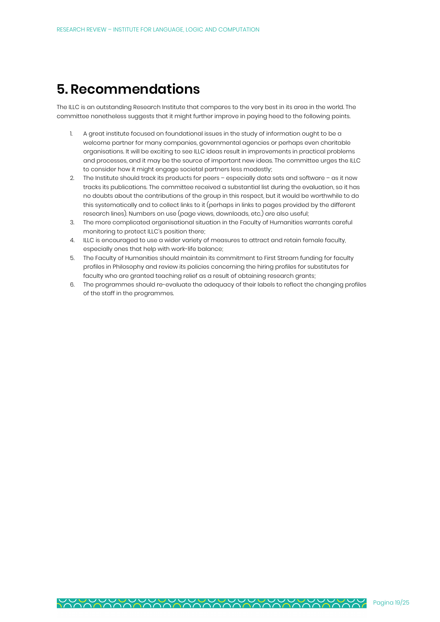# **5. Recommendations**

The ILLC is an outstanding Research Institute that compares to the very best in its area in the world. The committee nonetheless suggests that it might further improve in paying heed to the following points.

- 1. A great institute focused on foundational issues in the study of information ought to be a welcome partner for many companies, governmental agencies or perhaps even charitable organisations. It will be exciting to see ILLC ideas result in improvements in practical problems and processes, and it may be the source of important new ideas. The committee urges the ILLC to consider how it might engage societal partners less modestly;
- 2. The Institute should track its products for peers especially data sets and software as it now tracks its publications. The committee received a substantial list during the evaluation, so it has no doubts about the contributions of the group in this respect, but it would be worthwhile to do this systematically and to collect links to it (perhaps in links to pages provided by the different research lines). Numbers on use (page views, downloads, etc.) are also useful;
- 3. The more complicated organisational situation in the Faculty of Humanities warrants careful monitoring to protect ILLC's position there;
- 4. ILLC is encouraged to use a wider variety of measures to attract and retain female faculty, especially ones that help with work-life balance;
- 5. The Faculty of Humanities should maintain its commitment to First Stream funding for faculty profiles in Philosophy and review its policies concerning the hiring profiles for substitutes for faculty who are granted teaching relief as a result of obtaining research grants;
- 6. The programmes should re-evaluate the adequacy of their labels to reflect the changing profiles of the staff in the programmes.

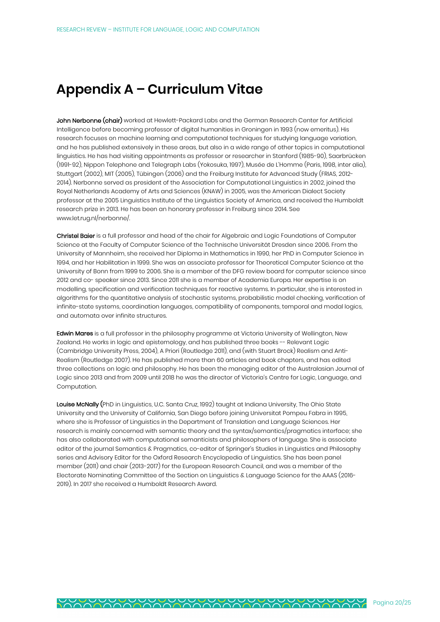# **Appendix A – Curriculum Vitae**

John Nerbonne (chair) worked at Hewlett-Packard Labs and the German Research Center for Artificial Intelligence before becoming professor of digital humanities in Groningen in 1993 (now emeritus). His research focuses on machine learning and computational techniques for studying language variation, and he has published extensively in these areas, but also in a wide range of other topics in computational linguistics. He has had visiting appointments as professor or researcher in Stanford (1985-90), Saarbrücken (1991-92), Nippon Telephone and Telegraph Labs (Yokosuka, 1997), Musée de L'Homme (Paris, 1998, inter alia), Stuttgart (2002), MIT (2005), Tübingen (2006) and the Freiburg Institute for Advanced Study (FRIAS, 2012- 2014). Nerbonne served as president of the Association for Computational Linguistics in 2002, joined the Royal Netherlands Academy of Arts and Sciences (KNAW) in 2005, was the American Dialect Society professor at the 2005 Linguistics Institute of the Linguistics Society of America, and received the Humboldt research prize in 2013. He has been an honorary professor in Freiburg since 2014. See www.let.rug.nl/nerbonne/.

Christel Baier is a full professor and head of the chair for Algebraic and Logic Foundations of Computer Science at the Faculty of Computer Science of the Technische Universität Dresden since 2006. From the University of Mannheim, she received her Diploma in Mathematics in 1990, her PhD in Computer Science in 1994, and her Habilitation in 1999. She was an associate professor for Theoretical Computer Science at the University of Bonn from 1999 to 2006. She is a member of the DFG review board for computer science since 2012 and co- speaker since 2013. Since 2011 she is a member of Academia Europa. Her expertise is on modelling, specification and verification techniques for reactive systems. In particular, she is interested in algorithms for the quantitative analysis of stochastic systems, probabilistic model checking, verification of infinite-state systems, coordination languages, compatibility of components, temporal and modal logics, and automata over infinite structures.

Edwin Mares is a full professor in the philosophy programme at Victoria University of Wellington, New Zealand. He works in logic and epistemology, and has published three books -- Relevant Logic (Cambridge University Press, 2004), A Priori (Routledge 2011), and (with Stuart Brock) Realism and Anti-Realism (Routledge 2007). He has published more than 60 articles and book chapters, and has edited three collections on logic and philosophy. He has been the managing editor of the Australasian Journal of Logic since 2013 and from 2009 until 2018 he was the director of Victoria's Centre for Logic, Language, and Computation.

Louise McNally (PhD in Linguistics, U.C. Santa Cruz, 1992) taught at Indiana University, The Ohio State University and the University of California, San Diego before joining Universitat Pompeu Fabra in 1995, where she is Professor of Linguistics in the Department of Translation and Language Sciences. Her research is mainly concerned with semantic theory and the syntax/semantics/pragmatics interface; she has also collaborated with computational semanticists and philosophers of language. She is associate editor of the journal Semantics & Pragmatics, co-editor of Springer's Studies in Linguistics and Philosophy series and Advisory Editor for the Oxford Research Encyclopedia of Linguistics. She has been panel member (2011) and chair (2013-2017) for the European Research Council, and was a member of the Electorate Nominating Committee of the Section on Linguistics & Language Science for the AAAS (2016- 2019). In 2017 she received a Humboldt Research Award.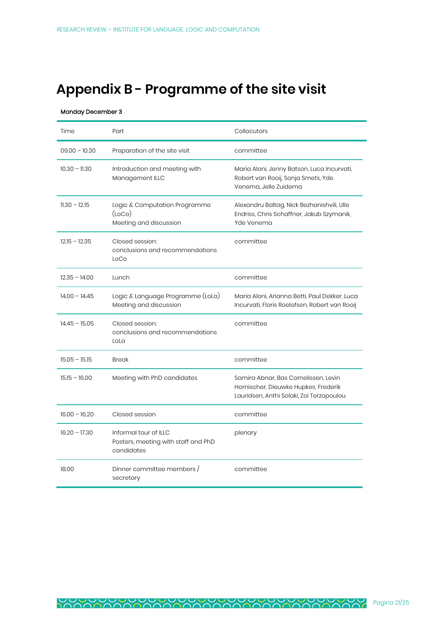# **Appendix B - Programme of the site visit**

#### Monday December 3

| Time            | Part                                                                       | Collocutors                                                                                                              |
|-----------------|----------------------------------------------------------------------------|--------------------------------------------------------------------------------------------------------------------------|
| $09.00 - 10.30$ | Preparation of the site visit                                              | committee                                                                                                                |
| $10.30 - 11.30$ | Introduction and meeting with<br>Management ILLC                           | Maria Aloni, Jenny Batson, Luca Incurvati,<br>Robert van Rooij, Sonja Smets, Yde<br>Venema, Jelle Zuidema                |
| $11.30 - 12.15$ | Logic & Computation Programme<br>(loco)<br>Meeting and discussion          | Alexandru Baltag, Nick Bezhanishvili, Ulle<br>Endriss, Chris Schaffner, Jakub Szymanik,<br>Yde Venema                    |
| $12.15 - 12.35$ | Closed session:<br>conclusions and recommendations<br>LoCo                 | committee                                                                                                                |
| $12.35 - 14.00$ | Lunch                                                                      | committee                                                                                                                |
| $14.00 - 14.45$ | Logic & Language Programme (LoLa)<br>Meeting and discussion                | Maria Aloni, Arianna Betti, Paul Dekker, Luca<br>Incurvati, Floris Roelofsen, Robert van Rooij                           |
| $14.45 - 15.05$ | Closed session:<br>conclusions and recommendations<br>LoLa                 | committee                                                                                                                |
| $15.05 - 15.15$ | Break                                                                      | committee                                                                                                                |
| $15.15 - 16.00$ | Meeting with PhD candidates                                                | Samira Abnar, Bas Cornelissen, Levin<br>Hornischer, Dieuwke Hupkes, Frederik<br>Lauridsen, Anthi Solaki, Zoi Terzopoulou |
| $16.00 - 16.20$ | Closed session                                                             | committee                                                                                                                |
| $16.20 - 17.30$ | Informal tour of ILLC<br>Posters, meeting with staff and PhD<br>candidates | plenary                                                                                                                  |
| 18.00           | Dinner committee members /<br>secretary                                    | committee                                                                                                                |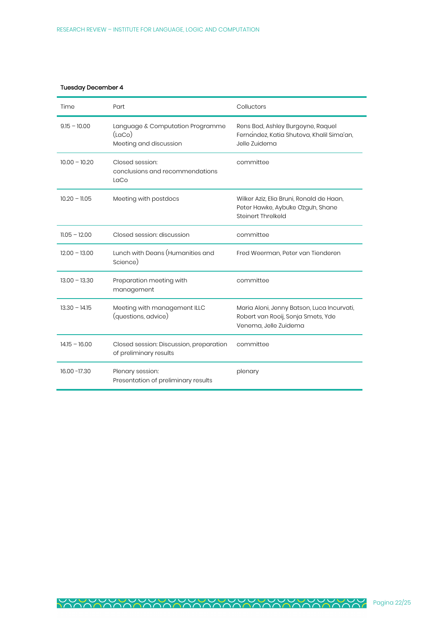## Tuesday December 4

| Time            | Part                                                                 | Colluctors                                                                                                |
|-----------------|----------------------------------------------------------------------|-----------------------------------------------------------------------------------------------------------|
| $9.15 - 10.00$  | Language & Computation Programme<br>(LACo)<br>Meeting and discussion | Rens Bod, Ashley Burgoyne, Raquel<br>Fernandez, Katia Shutova, Khalil Sima'an,<br>Jelle Zuidema           |
| $10.00 - 10.20$ | Closed session:<br>conclusions and recommendations<br>LaCo           | committee                                                                                                 |
| $10.20 - 11.05$ | Meeting with postdocs                                                | Wilker Aziz, Elia Bruni, Ronald de Haan,<br>Peter Hawke, Aybuke Ozgun, Shane<br>Steinert Threlkeld        |
| $11.05 - 12.00$ | Closed session: discussion                                           | committee                                                                                                 |
| $12.00 - 13.00$ | Lunch with Deans (Humanities and<br>Science)                         | Fred Weerman, Peter van Tienderen                                                                         |
| $13.00 - 13.30$ | Preparation meeting with<br>management                               | committee                                                                                                 |
| $13.30 - 14.15$ | Meeting with management ILLC<br>(questions, advice)                  | Maria Aloni, Jenny Batson, Luca Incurvati,<br>Robert van Rooij, Sonja Smets, Yde<br>Venema, Jelle Zuidema |
| $14.15 - 16.00$ | Closed session: Discussion, preparation<br>of preliminary results    | committee                                                                                                 |
| 16.00 - 17.30   | Plenary session:<br>Presentation of preliminary results              | plenary                                                                                                   |

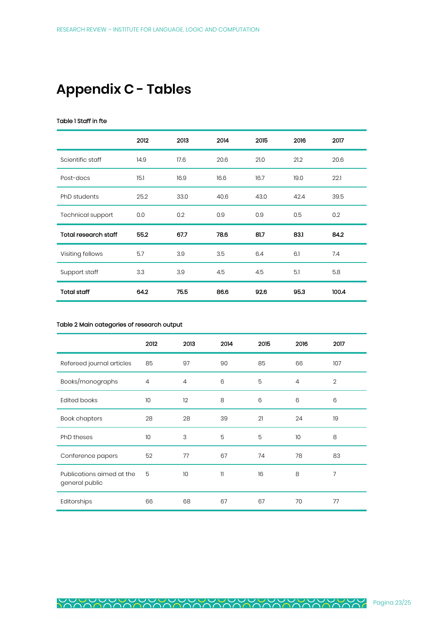# **Appendix C - Tables**

### Table 1 Staff in fte

|                             | 2012 | 2013 | 2014 | 2015 | 2016 | 2017  |
|-----------------------------|------|------|------|------|------|-------|
| Scientific staff            | 14.9 | 17.6 | 20.6 | 21.0 | 21.2 | 20.6  |
| Post-docs                   | 15.1 | 16.9 | 16.6 | 16.7 | 19.0 | 22.1  |
| PhD students                | 25.2 | 33.0 | 40.6 | 43.0 | 42.4 | 39.5  |
| <b>Technical support</b>    | 0.0  | 0.2  | 0.9  | 0.9  | 0.5  | 0.2   |
| <b>Total research staff</b> | 55.2 | 67.7 | 78.6 | 81.7 | 83.1 | 84.2  |
| Visiting fellows            | 5.7  | 3.9  | 3.5  | 6.4  | 6.1  | 7.4   |
| Support staff               | 3.3  | 3.9  | 4.5  | 4.5  | 5.1  | 5.8   |
| <b>Total staff</b>          | 64.2 | 75.5 | 86.6 | 92.6 | 95.3 | 100.4 |

#### Table 2 Main categories of research output

|                                             | 2012           | 2013           | 2014         | 2015 | 2016           | 2017           |
|---------------------------------------------|----------------|----------------|--------------|------|----------------|----------------|
| Refereed journal articles                   | 85             | 97             | 90           | 85   | 66             | 107            |
| Books/monographs                            | $\overline{4}$ | $\overline{4}$ | 6            | 5    | $\overline{4}$ | $\overline{2}$ |
| <b>Edited books</b>                         | 10             | 12             | 8            | 6    | 6              | 6              |
| <b>Book chapters</b>                        | 28             | 28             | 39           | 21   | 24             | 19             |
| PhD theses                                  | 10             | 3              | 5            | 5    | 10             | 8              |
| Conference papers                           | 52             | 77             | 67           | 74   | 78             | 83             |
| Publications aimed at the<br>general public | 5              | 10             | $\mathbf{1}$ | 16   | 8              | 7              |
| Editorships                                 | 66             | 68             | 67           | 67   | 70             | 77             |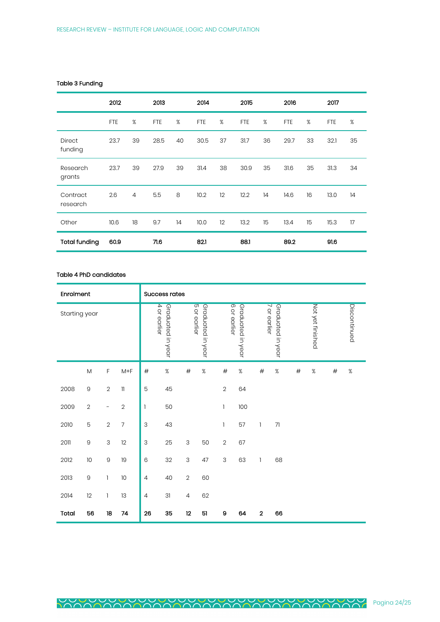## Table 3 Funding

|                          | 2012       |                | 2013       |    | 2014       |    | 2015       |    | 2016       |    | 2017       |    |
|--------------------------|------------|----------------|------------|----|------------|----|------------|----|------------|----|------------|----|
|                          | <b>FTE</b> | %              | <b>FTE</b> | %  | <b>FTE</b> | %  | <b>FTE</b> | %  | <b>FTE</b> | %  | <b>FTE</b> | %  |
| <b>Direct</b><br>funding | 23.7       | 39             | 28.5       | 40 | 30.5       | 37 | 31.7       | 36 | 29.7       | 33 | 32.1       | 35 |
| Research<br>grants       | 23.7       | 39             | 27.9       | 39 | 31.4       | 38 | 30.9       | 35 | 31.6       | 35 | 31.3       | 34 |
| Contract<br>research     | 2.6        | $\overline{4}$ | 5.5        | 8  | 10.2       | 12 | 12.2       | 14 | 14.6       | 16 | 13.0       | 14 |
| Other                    | 10.6       | 18             | 9.7        | 14 | 10.0       | 12 | 13.2       | 15 | 13.4       | 15 | 15.3       | 17 |
| <b>Total funding</b>     | 60.9       |                | 71.6       |    | 821        |    | 88.1       |    | 89.2       |    | 91.6       |    |

## Table 4 PhD candidates

| Enrolment     |                |            |                |                           | <b>Success rates</b>              |                |                   |                |                   |              |                   |      |                  |      |              |
|---------------|----------------|------------|----------------|---------------------------|-----------------------------------|----------------|-------------------|----------------|-------------------|--------------|-------------------|------|------------------|------|--------------|
| Starting year |                |            |                |                           | 4 or earlier<br>Graduated in year | 5 or earlier   | Graduated in year | 6 or earlier   | Graduated in year | 7 or earlier | Graduated in year |      | Not yet finished |      | Discontinued |
|               | $\mathsf{M}$   | F          | $M+F$          | $\#$                      | $\%$                              | $\#$           | $\%$              | $\#$           | $\%$              | $\#$         | $\%$              | $\#$ | $\%$             | $\#$ | $\%$         |
| 2008          | $\Theta$       | $\sqrt{2}$ | 11             | 5                         | 45                                |                |                   | $\overline{2}$ | 64                |              |                   |      |                  |      |              |
| 2009          | $\overline{2}$ | -          | $\overline{2}$ | $\mathbf{1}$              | 50                                |                |                   | $\mathbf{I}$   | 100               |              |                   |      |                  |      |              |
| 2010          | 5              | $\sqrt{2}$ | 7              | $\ensuremath{\mathsf{3}}$ | 43                                |                |                   | 1              | 57                | $\mathbf{1}$ | 71                |      |                  |      |              |
| 2011          | $\Theta$       | 3          | 12             | $\ensuremath{\mathsf{3}}$ | 25                                | 3              | 50                | $\overline{2}$ | 67                |              |                   |      |                  |      |              |
| 2012          | 10             | $\hbox{9}$ | 19             | 6                         | 32                                | 3              | 47                | 3              | 63                | 1            | 68                |      |                  |      |              |
| 2013          | 9              | 1          | 10             | $\overline{4}$            | 40                                | $\overline{2}$ | 60                |                |                   |              |                   |      |                  |      |              |
| 2014          | 12             | 1          | 13             | $\overline{4}$            | 31                                | $\overline{4}$ | 62                |                |                   |              |                   |      |                  |      |              |
| Total         | 56             | 18         | 74             | 26                        | 35                                | 12             | 51                | 9              | 64                | $\mathbf 2$  | 66                |      |                  |      |              |